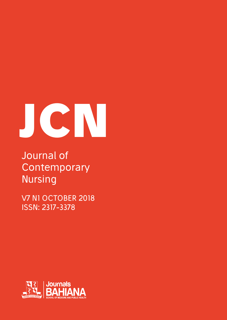# **JCN**

## Journal of **Contemporary** Nursing

V7 N1 OCTOBER 2018 ISSN: 2317-3378

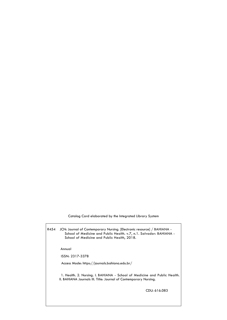Catalog Card elaborated by the Integrated Library System

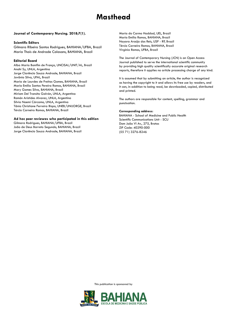### **Masthead**

#### **Journal of Contemporary Nursing. 2018;7(1).**

#### **Scientific Editors**

Gilmara Ribeiro Santos Rodrigues, BAHIANA/UFBA, Brazil Maria Thaís de Andrade Calasans, BAHIANA, Brazil

#### **Editorial Board**

Alba Maria Bomfim de França, UNCISAL/UNIT/AL, Brazil Anahí Sy, UNLA, Argentina Jorge Clarêncio Souza Andrade, BAHIANA, Brazil Jovânia Silva, UFAL, Brazil Maria de Lourdes de Freitas Gomes, BAHIANA, Brazil Maria Emilia Santos Pereira Ramos, BAHIANA, Brazil Mary Gomes Silva, BAHIANA, Brazil Miriam Del Transito Galván, UNLA, Argentina Ramón Aristides Alvarez, UNLA, Argentina Silvia Noemí Cárcamo, UNLA, Argentina Tânia Christiane Ferreira Bispo, UNEB/UNIJORGE, Brazil Tércio Carneiro Ramos, BAHIANA, Brazil

#### **Ad hoc peer reviewes who participated in this edition**

Gilmara Rodrigues, BAHIANA/UFBA, Brazil João de Deus Barreto Segundo, BAHIANA, Brazil Jorge Clarêncio Souza Andrade, BAHIANA, Brazil Maria do Carmo Haddad, UEL, Brazil Maria Emilia Ramos, BAHIANA, Brazil Nayara Araújo dos Reis, USP - RP, Brazil Tércio Carneiro Ramos, BAHIANA, Brazil Virginia Ramos, UFBA, Brazil

The Journal of Contemporary Nursing (JCN) is an Open Access Journal published to serve the international scientific community by providing high quality scientifically accurate original research reports, therefore it applies no article processing charge of any kind.

It is assumed that by submitting an article, the author is recognized as having the copyright to it and allows its free use by readers, and it can, in addition to being read, be downloaded, copied, distributed and printed.

The authors are responsible for content, spelling, grammar and punctuation.

#### **Corresponding address:**

BAHIANA - School of Medicine and Public Health Scientific Communications Unit - SCU Dom João VI Av., 275, Brotas ZIP Code: 40290-000 (55 71) 3276-8246

This publication is sponsored by